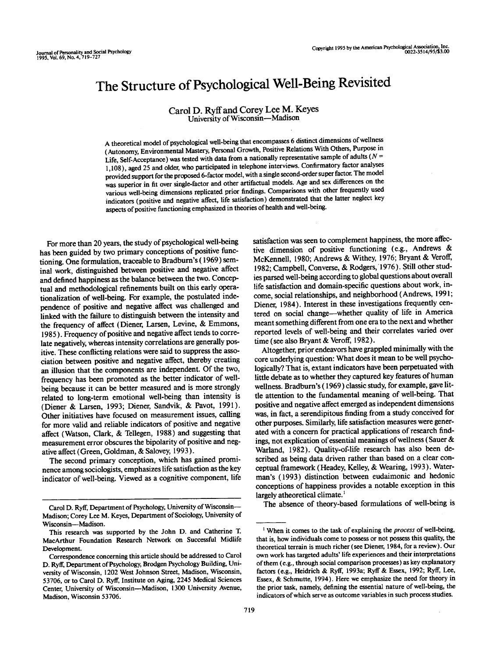# The Structure of Psychological Well-Being Revisited

## Carol D. Ryff and Corey Lee M. Keyes University of Wisconsin—Madison

A theoretical model of psychological well-being that encompasses 6 distinct dimensions of wellness (Autonomy, Environmental Mastery, Personal Growth, Positive Relations With Others, Purpose in Life, Self-Acceptance) was tested with data from a nationally representative sample of adults ( $N =$ 1,108), aged 25 and older, who participated in telephone interviews. Confirmatory factor analyses provided support for the proposed 6-factor model, with a single second-order super factor. The model was superior in fit over single-factor and other artifactual models. Age and sex differences on the various well-being dimensions replicated prior findings. Comparisons with other frequently used indicators (positive and negative affect, life satisfaction) demonstrated that the latter neglect key aspects of positive functioning emphasized in theories of health and well-being.

For more than 20 years, the study of psychological well-being has been guided by two primary conceptions of positive functioning. One formulation, traceable to Bradburn's (1969) seminal work, distinguished between positive and negative affect and defined happiness as the balance between the two. Conceptual and methodological refinements built on this early operationalization of well-being. For example, the postulated independence of positive and negative affect was challenged and linked with the failure to distinguish between the intensity and the frequency of affect (Diener, Larsen, Levine, & Emmons, 1985). Frequency of positive and negative affect tends to correlate negatively, whereas intensity correlations are generally positive. These conflicting relations were said to suppress the association between positive and negative affect, thereby creating an illusion that the components are independent. Of the two, frequency has been promoted as the better indicator of wellbeing because it can be better measured and is more strongly related to long-term emotional well-being than intensity is (Diener & Larsen, 1993; Diener, Sandvik, & Pavot, 1991). Other initiatives have focused on measurement issues, calling for more valid and reliable indicators of positive and negative affect (Watson, Clark, & Tellegen, 1988) and suggesting that measurement error obscures the bipolarity of positive and negative affect (Green, Goldman, & Salovey, 1993).

The second primary conception, which has gained prominence among sociologists, emphasizes life satisfaction as the key indicator of well-being. Viewed as a cognitive component, life satisfaction was seen to complement happiness, the more affective dimension of positive functioning (e.g., Andrews & McKennell, 1980; Andrews & Withey, 1976; Bryant & Veroff, 1982; Campbell, Converse, & Rodgers, 1976). Still other studies parsed well-being according to global questions about overall life satisfaction and domain-specific questions about work, income, social relationships, and neighborhood (Andrews, 1991; Diener, 1984). Interest in these investigations frequently centered on social change—whether quality of life in America meant something different from one era to the next and whether reported levels of well-being and their correlates varied over time (see also Bryant & Veroff, 1982).

Altogether, prior endeavors have grappled minimally with the core underlying question: What does it mean to be well psychologically? That is, extant indicators have been perpetuated with little debate as to whether they captured key features of human wellness. Bradburn's (1969) classic study, for example, gave little attention to the fundamental meaning of well-being. That positive and negative affect emerged as independent dimensions was, in fact, a serendipitous finding from a study conceived for other purposes. Similarly, life satisfaction measures were generated with a concern for practical applications of research findings, not explication of essential meanings of wellness (Sauer & Warland, 1982). Quality-of-life research has also been described as being data driven rather than based on a clear conceptual framework (Headey, Kelley, & Wearing, 1993). Waterman's (1993) distinction between eudaimonic and hedonic conceptions of happiness provides a notable exception in this largely atheoretical climate.<sup>1</sup>

The absence of theory-based formulations of well-being is

Carol D. Ryff, Department of Psychology, University of Wisconsin— Madison; Corey Lee M. Keyes, Department of Sociology, University of Wisconsin—Madison.

This research was supported by the John D. and Catherine T. MacArthur Foundation Research Network on Successful Midlife Development.

Correspondence concerning this article should be addressed to Carol D. Ryff, Department of Psychology, Brodgen Psychology Building, University of Wisconsin, 1202 West Johnson Street, Madison, Wisconsin, 53706, or to Carol D. Ryff, Institute on Aging, 2245 Medical Sciences Center, University of Wisconsin—Madison, 1300 University Avenue, Madison, Wisconsin 53706.

<sup>&</sup>lt;sup>1</sup> When it comes to the task of explaining the *process* of well-being, that is, how individuals come to possess or not possess this quality, the theoretical terrain is much richer (see Diener, 1984, for a review). Our own work has targeted adults' life experiences and their interpretations of them (e.g., through social comparison processes) as key explanatory factors (e.g., Heidrich & Ryff, 1993a; Ryff & Essex, 1992; Ryff, Lee, Essex, & Schmutte, 1994). Here we emphasize the need for theory in the prior task, namely, defining the essential nature of well-being, the indicators of which serve as outcome variables in such process studies.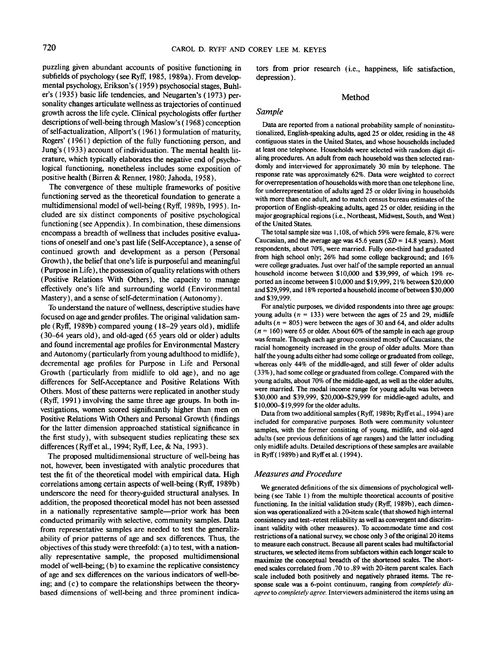puzzling given abundant accounts of positive functioning in subfields of psychology (see Ryff, 1985, 1989a). From developmental psychology, Erikson's (1959) psychosocial stages, Buhler's (1935) basic life tendencies, and Neugarten's (1973) personality changes articulate wellness as trajectories of continued growth across the life cycle. Clinical psychologists offer further descriptions of well-being through Maslow's (1968) conception of self-actualization, Allport's (1961) formulation of maturity, Rogers' (1961) depiction of the fully functioning person, and Jung's (1933) account of individuation. The mental health literature, which typically elaborates the negative end of psychological functioning, nonetheless includes some exposition of positive health (Birren & Renner, 1980; Jahoda, 1958).

The convergence of these multiple frameworks of positive functioning served as the theoretical foundation to generate a multidimensional model of well-being (Ryff, 1989b, 1995). Included are six distinct components of positive psychological functioning (see Appendix). In combination, these dimensions encompass a breadth of wellness that includes positive evaluations of oneself and one's past life (Self-Acceptance), a sense of continued growth and development as a person (Personal Growth), the belief that one's life is purposeful and meaningful (Purpose in Life), the possession of quality relations with others (Positive Relations With Others), the capacity to manage effectively one's life and surrounding world (Environmental Mastery), and a sense of self-determination (Autonomy).

To understand the nature of wellness, descriptive studies have focused on age and gender profiles. The original validation sample (Ryff, 1989b) compared young (18-29 years old), midlife (30-64 years old), and old-aged (65 years old or older) adults and found incremental age profiles for Environmental Mastery and Autonomy (particularly from young adulthood to midlife), decremental age profiles for Purpose in Life and Personal Growth (particularly from midlife to old age), and no age differences for Self-Acceptance and Positive Relations With Others. Most of these patterns were replicated in another study (Ryff, 1991) involving the same three age groups. In both investigations, women scored significantly higher than men on Positive Relations With Others and Personal Growth (findings for the latter dimension approached statistical significance in the first study), with subsequent studies replicating these sex differences (Ryff et al., 1994; Ryff, Lee, & Na, 1993).

The proposed multidimensional structure of well-being has not, however, been investigated with analytic procedures that test the fit of the theoretical model with empirical data. High correlations among certain aspects of well-being (Ryff, 1989b) underscore the need for theory-guided structural analyses. In addition, the proposed theoretical model has not been assessed in a nationally representative sample—prior work has been conducted primarily with selective, community samples. Data from representative samples are needed to test the generalizability of prior patterns of age and sex differences. Thus, the objectives of this study were threefold: (a) to test, with a nationally representative sample, the proposed multidimensional model of well-being; (b) to examine the replicative consistency of age and sex differences on the various indicators of well-being; and (c) to compare the relationships between the theorybased dimensions of well-being and three prominent indicators from prior research (i.e., happiness, life satisfaction, depression).

#### Method

#### *Sample*

Data are reported from a national probability sample of noninstitutionalized, English-speaking adults, aged 25 or older, residing in the 48 contiguous states in the United States, and whose households included at least one telephone. Households were selected with random digit dialing procedures. An adult from each household was then selected randomly and interviewed for approximately 30 min by telephone. The response rate was approximately 62%. Data were weighted to correct for overrepresentation of households with more than one telephone line, for underrepresentation of adults aged 25 or older living in households with more than one adult, and to match census bureau estimates of the proportion of English-speaking adults, aged 25 or older, residing in the major geographical regions (i.e., Northeast, Midwest, South, and West) of the United States.

The total sample size was 1,108, of which 59% were female, 87% were Caucasian, and the average age was  $45.6$  years*(SD = 14.8 years)*. Most respondents, about 70%, were married. Fully one-third had graduated from high school only; 26% had some college background; and 16% were college graduates. Just over half of the sample reported an annual household income between \$10,000 and \$39,999, of which 19% reported an income between \$10,000 and \$19,999, 21% between \$20,000 and \$29,999, and 18% reported a household income of between \$30,000 and \$39,999.

For analytic purposes, we divided respondents into three age groups: young adults ( $n = 133$ ) were between the ages of 25 and 29, midlife adults ( $n = 805$ ) were between the ages of 30 and 64, and older adults  $(n = 160)$  were 65 or older. About 60% of the sample in each age group was female. Though each age group consisted mostly of Caucasians, the racial homogeneity increased in the group of older adults. More than half the young adults either had some college or graduated from college, whereas only 44% of the middle-aged, and still fewer of older adults (33%), had some college or graduated from college. Compared with the young adults, about 70% of the middle-aged, as well as the older adults, were married. The modal income range for young adults was between \$30,000 and \$39,999, \$20,000-\$29,999 for middle-aged adults, and \$ 10,000-\$ 19,999 for the older adults.

Data from two additional samples (Ryff, 1989b; Ryffet al., 1994) are included for comparative purposes. Both were community volunteer samples, with the former consisting of young, midlife, and old-aged adults (see previous definitions of age ranges) and the latter including only midlife adults. Detailed descriptions of these samples are available in Ryff( 1989b) and Ryffet al. (1994).

#### *Measures and Procedure*

We generated definitions of the six dimensions of psychological wellbeing (see Table 1) from the multiple theoretical accounts of positive functioning. In the initial validation study (Ryff, 1989b), each dimension was operationalized with a 20-item scale (that showed high internal consistency and test-retest reliability as well as convergent and discriminant validity with other measures). To accommodate time and cost restrictions of a national survey, we chose only 3 of the original 20 items to measure each construct. Because all parent scales had multifactorial structures, we selected items from subfactors within each longer scale to maximize the conceptual breadth of the shortened scales. The shortened scales correlated from .70 to .89 with 20-item parent scales. Each scale included both positively and negatively phrased items. The response scale was a 6-point continuum, ranging from *completely disagree* to *completely agree.* Interviewers administered the items using an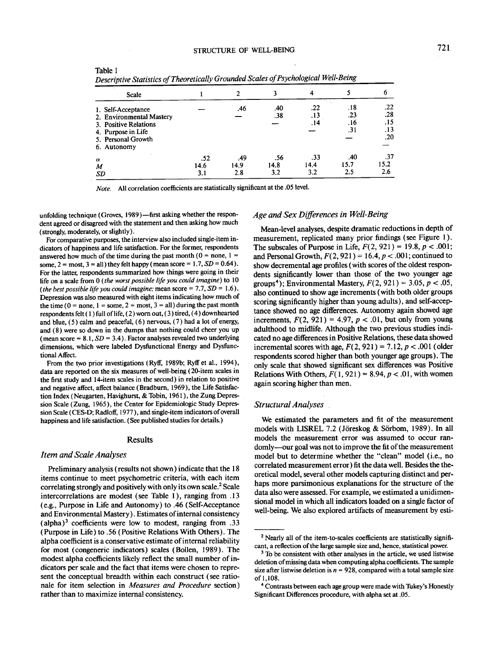# STRUCTURE OF WELL-BEING 721

| <i><u>Deserve Stationes of These Streets</u></i><br>Scale                                                                          |                    |                    |                    |                    |                          | 6                               |
|------------------------------------------------------------------------------------------------------------------------------------|--------------------|--------------------|--------------------|--------------------|--------------------------|---------------------------------|
| 1. Self-Acceptance<br>2. Environmental Mastery<br>3. Positive Relations<br>4. Purpose in Life<br>5. Personal Growth<br>6. Autonomy |                    | .46                | .40<br>.38         | .22<br>.13<br>.14  | .18<br>.23<br>.16<br>.31 | .22<br>.28<br>.15<br>.13<br>.20 |
| $\alpha$<br>M<br>SD                                                                                                                | .52<br>14.6<br>3.1 | .49<br>14.9<br>2.8 | .56<br>14.8<br>3.2 | .33<br>14.4<br>3.2 | .40<br>15.7<br>2.5       | .37<br>15.2<br>2.6              |

Table 1 *Descriptive Statistics of Theoretically Grounded Scales of Psychological Weil-Being*

*Note.* All correlation coefficients are statistically significant at the .05 level.

unfolding technique (Groves, 1989)—first asking whether the respondent agreed or disagreed with the statement and then asking how much (strongly, moderately, or slightly).

For comparative purposes, the interview also included single-item indicators of happiness and life satisfaction. For the former, respondents answered how much of the time during the past month ( $0 =$  none,  $1 =$ some,  $2 = \text{most}, 3 = \text{all}$ ) they felt happy (mean score  $= 1.7$ ,  $SD = 0.64$ ). For the latter, respondents summarized how things were going in their life on a scale from 0 *(the worst possible life you could imagine)* to 10 (*the best possible life you could imagine;* mean score =  $7.7$ ,  $SD = 1.6$ ). Depression was also measured with eight items indicating how much of the time ( $0 = none$ ,  $1 = some$ ,  $2 = most$ ,  $3 = all$ ) during the past month respondents felt (1) full of life, (2) worn out, (3) tired, (4) downhearted and blue, (5) calm and peaceful, (6) nervous, (7) had a lot of energy, and (8) were so down in the dumps that nothing could cheer you up (mean score  $= 8.1$ ,  $SD = 3.4$ ). Factor analyses revealed two underlying dimensions, which were labeled Dysfunctional Energy and Dysfunctional Affect.

From the two prior investigations (Ryff, 1989b; Ryff et al., 1994), data are reported on the six measures of well-being (20-item scales in the first study and 14-item scales in the second) in relation to positive and negative affect, affect balance (Bradburn, 1969), the Life Satisfaction Index (Neugarten, Havighurst, & Tobin, 1961), the Zung Depression Scale (Zung, 1965), the Center for Epidemiologic Study Depression Scale (CES-D; Radloff, 1977), and single-item indicators of overall happiness and life satisfaction. (See published studies for details.)

#### Results

#### *Item and Scale Analyses*

Preliminary analysis (results not shown) indicate that the 18 items continue to meet psychometric criteria, with each item correlating strongly and positively with only its own scale.<sup>2</sup> Scale intercorrelations are modest (see Table 1), ranging from .13 (e.g., Purpose in Life and Autonomy) to .46 (Self-Acceptance and Environmental Mastery). Estimates of internal consistency (alpha)<sup>3</sup> coefficients were low to modest, ranging from .33 (Purpose in Life) to .56 (Positive Relations With Others). The alpha coefficient is a conservative estimate of internal reliability for most (congeneric indicators) scales (Bollen, 1989). The modest alpha coefficients likely reflect the small number of indicators per scale and the fact that items were chosen to represent the conceptual breadth within each construct (see rationale for item selection in *Measures and Procedure* section) rather than to maximize internal consistency.

#### *Age and Sex Differences in Weil-Being*

Mean-level analyses, despite dramatic reductions in depth of measurement, replicated many prior findings (see Figure 1). The subscales of Purpose in Life, *F(2,* 921) = 19.8, *p <* .001; and Personal Growth,  $F(2,921) = 16.4$ ,  $p < .001$ ; continued to show decremental age profiles (with scores of the oldest respondents significantly lower than those of the two younger age groups<sup>4</sup> ); Environmental Mastery, *F(2,* 921) = 3.05, *p <* .05, also continued to show age increments (with both older groups scoring significantly higher than young adults), and self-acceptance showed no age differences. Autonomy again showed age increments,  $F(2, 921) = 4.97$ ,  $p < .01$ , but only from young adulthood to midlife. Although the two previous studies indicated no age differences in Positive Relations, these data showed incremental scores with age,  $F(2, 921) = 7.12$ ,  $p < .001$  (older respondents scored higher than both younger age groups). The only scale that showed significant sex differences was Positive Relations With Others,  $F(1, 921) = 8.94$ ,  $p < .01$ , with women again scoring higher than men.

#### *Structural Analyses*

We estimated the parameters and fit of the measurement models with LISREL 7.2 (Jöreskog & Sörbom, 1989). In all models the measurement error was assumed to occur randomly—our goal was not to improve the fit of the measurement model but to determine whether the "clean" model (i.e., no correlated measurement error) fit the data well. Besides the theoretical model, several other models capturing distinct and perhaps more parsimonious explanations for the structure of the data also were assessed. For example, we estimated a unidimensional model in which all indicators loaded on a single factor of well-being. We also explored artifacts of measurement by esti-

<sup>&</sup>lt;sup>2</sup> Nearly all of the item-to-scales coefficients are statistically significant, a reflection of the large sample size and, hence, statistical power.

<sup>&</sup>lt;sup>3</sup> To be consistent with other analyses in the article, we used listwise deletion of missing data when computing alpha coefficients. The sample size after listwise deletion is  $n = 928$ , compared with a total sample size of 1,108.

<sup>4</sup> Contrasts between each age group were made with Tukey's Honestly Significant Differences procedure, with alpha set at .05.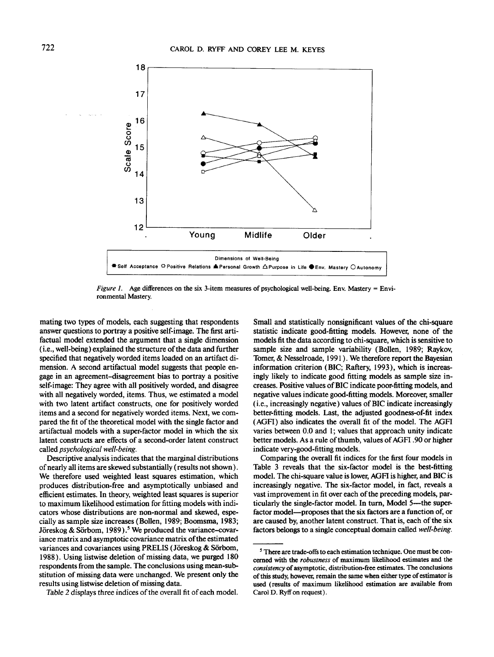

*Figure 1.* Age differences on the six 3-item measures of psychological well-being. Env. Mastery = Environmental Mastery.

mating two types of models, each suggesting that respondents answer questions to portray a positive self-image. The first artifactual model extended the argument that a single dimension (i.e., well-being) explained the structure of the data and further specified that negatively worded items loaded on an artifact dimension. A second artifactual model suggests that people engage in an agreement-disagreement bias to portray a positive self-image: They agree with all positively worded, and disagree with all negatively worded, items. Thus, we estimated a model with two latent artifact constructs, one for positively worded items and a second for negatively worded items. Next, we compared the fit of the theoretical model with the single factor and artifactual models with a super-factor model in which the six latent constructs are effects of a second-order latent construct called *psychological well-being.*

Descriptive analysis indicates that the marginal distributions of nearly all items are skewed substantially (results not shown). We therefore used weighted least squares estimation, which produces distribution-free and asymptotically unbiased and efficient estimates. In theory, weighted least squares is superior to maximum likelihood estimation for fitting models with indicators whose distributions are non-normal and skewed, especially as sample size increases (Bollen, 1989; Boomsma, 1983; Jöreskog & Sörbom, 1989).<sup>5</sup> We produced the variance-covariance matrix and asymptotic covariance matrix of the estimated variances and covariances using PRELIS (Jöreskog  $\&$  Sörbom, 1988). Using listwise deletion of missing data, we purged 180 respondents from the sample. The conclusions using mean-substitution of missing data were unchanged. We present only the results using listwise deletion of missing data.

Table 2 displays three indices of the overall fit of each model.

Small and statistically nonsignificant values of the chi-square statistic indicate good-fitting models. However, none of the models fit the data according to chi-square, which is sensitive to sample size and sample variability (Bollen, 1989; Raykov, Tomer, & Nesselroade, 1991). We therefore report the Bayesian information criterion (BIC; Raftery, 1993), which is increasingly likely to indicate good fitting models as sample size increases. Positive values of BIC indicate poor-fitting models, and negative values indicate good-fitting models. Moreover, smaller (i.e., increasingly negative) values of BIC indicate increasingly better-fitting models. Last, the adjusted goodness-of-fit index (AGFI) also indicates the overall fit of the model. The AGFI varies between 0.0 and 1; values that approach unity indicate better models. As a rule of thumb, values of AGFI .90 or higher indicate very-good-fitting models.

Comparing the overall fit indices for the first four models in Table 3 reveals that the six-factor model is the best-fitting model. The chi-square value is lower, AGFI is higher, and BIC is increasingly negative. The six-factor model, in fact, reveals a vast improvement in fit over each of the preceding models, particularly the single-factor model. In turn, Model 5—the superfactor model—proposes that the six factors are a function of, or are caused by, another latent construct. That is, each of the six factors belongs to a single conceptual domain called *well-being.*

<sup>&</sup>lt;sup>5</sup> There are trade-offs to each estimation technique. One must be concerned with the *robustness* of maximum likelihood estimates and the *consistency* of asymptotic, distribution-free estimates. The conclusions of this study, however, remain the same when either type of estimator is used (results of maximum likelihood estimation are available from Carol D. Ryff on request).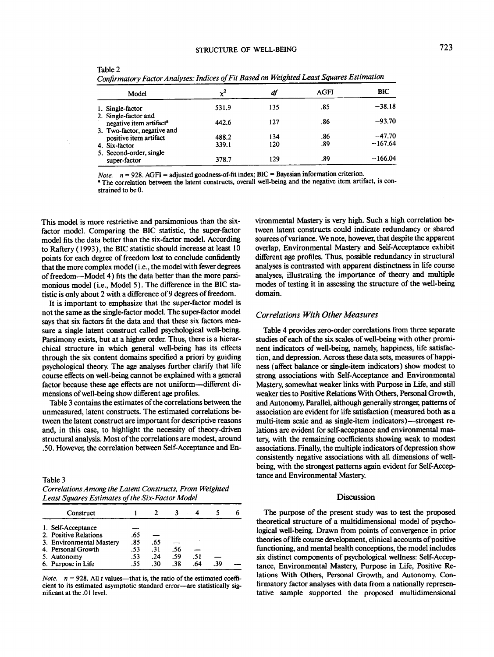# STRUCTURE OF WELL-BEING 723

| Contribution y Pactor Analyses. Inalices of Fill Basea on Weighton Boast Squares — In |       |     |             |           |  |  |  |
|---------------------------------------------------------------------------------------|-------|-----|-------------|-----------|--|--|--|
| Model                                                                                 | $x^2$ | df  | <b>AGFI</b> | BIC       |  |  |  |
| 1. Single-factor                                                                      | 531.9 | 135 | .85         | $-38.18$  |  |  |  |
| 2. Single-factor and<br>negative item artifact <sup>a</sup>                           | 442.6 | 127 | .86         | $-93.70$  |  |  |  |
| 3. Two-factor, negative and<br>positive item artifact                                 | 488.2 | 134 | .86         | $-47.70$  |  |  |  |
| 4. Six-factor                                                                         | 339.1 | 120 | .89         | $-167.64$ |  |  |  |
| 5. Second-order, single<br>super-factor                                               | 378.7 | 129 | .89         | $-166.04$ |  |  |  |

Table 2 *Confirmatory Factor Analyses: Indices of Fit Based on Weighted Least Squares Estimation*

*Note.*  $n = 928$ . AGFI = adjusted goodness-of-fit index; BIC = Bayesian information criterion.

<sup>a</sup> The correlation between the latent constructs, overall well-being and the negative item artifact, is constrained to be 0.

This model is more restrictive and parsimonious than the sixfactor model. Comparing the BIC statistic, the super-factor model fits the data better than the six-factor model. According to Raftery (1993), the BIC statistic should increase at least 10 points for each degree of freedom lost to conclude confidently that the more complex model (i.e., the model with fewer degrees of freedom—Model 4) fits the data better than the more parsimonious model (i.e., Model 5). The difference in the BIC statistic is only about 2 with a difference of 9 degrees of freedom.

It is important to emphasize that the super-factor model is not the same as the single-factor model. The super-factor model says that six factors fit the data and that these six factors measure a single latent construct called psychological well-being. Parsimony exists, but at a higher order. Thus, there is a hierarchical structure in which general well-being has its effects through the six content domains specified a priori by guiding psychological theory. The age analyses further clarify that life course effects on well-being cannot be explained with a general factor because these age effects are not uniform—different dimensions of well-being show different age profiles.

Table 3 contains the estimates of the correlations between the unmeasured, latent constructs. The estimated correlations between the latent construct are important for descriptive reasons and, in this case, to highlight the necessity of theory-driven structural analysis. Most of the correlations are modest, around .50. However, the correlation between Self-Acceptance and En-

Table 3

*Correlations Among the Latent Constructs, From Weighted Least Squares Estimates of the Six-Factor Model*

| Construct                |     |     |     |     |     |  |
|--------------------------|-----|-----|-----|-----|-----|--|
| 1. Self-Acceptance       |     |     |     |     |     |  |
| 2. Positive Relations    | .65 |     |     |     |     |  |
| 3. Environmental Mastery | .85 | .65 |     |     |     |  |
| 4. Personal Growth       | .53 | .31 | .56 |     |     |  |
| 5. Autonomy              | .53 | .24 | .59 | .51 |     |  |
| 6. Purpose in Life       | .55 | .30 | .38 | .64 | .39 |  |

*Note.*  $n = 928$ . All *t* values—that is, the ratio of the estimated coefficient to its estimated asymptotic standard error—are statistically significant at the .01 level.

vironmental Mastery is very high. Such a high correlation between latent constructs could indicate redundancy or shared sources of variance. We note, however, that despite the apparent overlap, Environmental Mastery and Self-Acceptance exhibit different age profiles. Thus, possible redundancy in structural analyses is contrasted with apparent distinctness in life course analyses, illustrating the importance of theory and multiple modes of testing it in assessing the structure of the well-being domain.

#### *Correlations With Other Measures*

Table 4 provides zero-order correlations from three separate studies of each of the six scales of well-being with other prominent indicators of well-being, namely, happiness, life satisfaction, and depression. Across these data sets, measures of happiness (affect balance or single-item indicators) show modest to strong associations with Self-Acceptance and Environmental Mastery, somewhat weaker links with Purpose in Life, and still weaker ties to Positive Relations With Others, Personal Growth, and Autonomy. Parallel, although generally stronger, patterns of association are evident for life satisfaction (measured both as a multi-item scale and as single-item indicators)—strongest relations are evident for self-acceptance and environmental mastery, with the remaining coefficients showing weak to modest associations. Finally, the multiple indicators of depression show consistently negative associations with all dimensions of wellbeing, with the strongest patterns again evident for Self-Acceptance and Environmental Mastery.

#### Discussion

The purpose of the present study was to test the proposed theoretical structure of a multidimensional model of psychological well-being. Drawn from points of convergence in prior theories of life course development, clinical accounts of positive functioning, and mental health conceptions, the model includes six distinct components of psychological wellness: Self-Acceptance, Environmental Mastery, Purpose in Life, Positive Relations With Others, Personal Growth, and Autonomy. Confirmatory factor analyses with data from a nationally representative sample supported the proposed multidimensional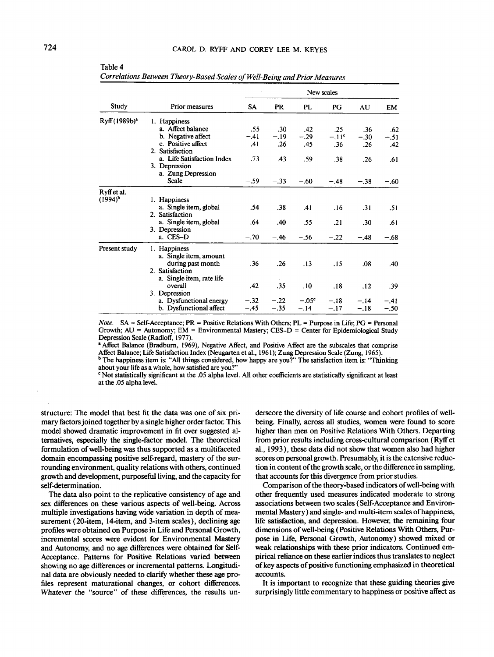Table 4

|                           |                            | New scales |           |         |         |        |           |
|---------------------------|----------------------------|------------|-----------|---------|---------|--------|-----------|
| Study                     | Prior measures             | SA.        | <b>PR</b> | PL      | PG      | AU     | <b>EM</b> |
| Ryff (1989b) <sup>a</sup> | 1. Happiness               |            |           |         |         |        |           |
|                           | a. Affect balance          | .55        | .30       | .42     | .25     | .36    | .62       |
|                           | b. Negative affect         | $-.41$     | $-.19$    | $-.29$  | $-.11c$ | $-.30$ | $-.51$    |
|                           | c. Positive affect         | .41        | .26       | .45     | .36     | .26    | .42       |
|                           | 2. Satisfaction            |            |           |         |         |        |           |
|                           | a. Life Satisfaction Index | .73        | .43       | .59     | .38     | .26    | .61       |
|                           | 3. Depression              |            |           |         |         |        |           |
|                           | a. Zung Depression         |            |           |         |         |        |           |
|                           | Scale                      | $-.59$     | $-.33$    | $-.60$  | $-.48$  | $-.38$ | $-.60$    |
| Ryff et al.               |                            |            |           |         |         |        |           |
| (1994) <sup>b</sup>       | 1. Happiness               |            |           |         |         |        |           |
|                           | a. Single item, global     | .54        | .38       | .41     | .16     | .31    | .51       |
|                           | 2. Satisfaction            |            |           |         |         |        |           |
|                           | a. Single item, global     | .64        | .40       | .55     | .21     | .30    | .61       |
|                           | 3. Depression              |            |           |         |         |        |           |
|                           | a. CES-D                   | $-.70$     | $-.46$    | $-.56$  | $-.22$  | $-.48$ | $-.68$    |
| Present study             | 1. Happiness               |            |           |         |         |        |           |
|                           | a. Single item, amount     |            |           |         |         |        |           |
|                           | during past month          | .36        | .26       | .13     | .15     | .08    | .40       |
|                           | 2. Satisfaction            |            |           |         |         |        |           |
|                           | a. Single item, rate life  |            |           |         |         |        |           |
|                           | overall                    | .42        | .35       | .10     | .18     | .12    | .39       |
|                           | 3. Depression              |            |           |         |         |        |           |
|                           | a. Dysfunctional energy    | $-.32$     | $-.22$    | $-.05c$ | $-.18$  | $-.14$ | $-.41$    |
|                           | b. Dysfunctional affect    | $-.45$     | $-.35$    | $-.14$  | $-.17$  | $-.18$ | $-.50$    |

*Correlations Between Theory-Based Scales oj Well-Being and Prior Measures*

*Note.* SA = Self-Acceptance; PR = Positive Relations With Others; PL = Purpose in Life; PG = Personal Growth; AU = Autonomy; EM = Environmental Mastery; CES-D = Center for Epidemiological Study Depression Scale (Radloff, 1977).

Affect Balance (Bradburn, 1969), Negative Affect, and Positive Affect are the subscales that comprise Affect Balance; Life Satisfaction Index (Neugarten et al., 1961); Zung Depression Scale (Zung, 1965). <sup>b</sup> The happiness item is: "All things considered, how happy are you?" The satisfaction item is: "Thinking about your life as a whole, how satisfied are you?"

<sup>c</sup> Not statistically significant at the .05 alpha level. All other coefficients are statistically significant at least at the .05 alpha level.

structure: The model that best fit the data was one of six primary factors joined together by a single higher order factor. This model showed dramatic improvement in fit over suggested alternatives, especially the single-factor model. The theoretical formulation of well-being was thus supported as a multifaceted domain encompassing positive self-regard, mastery of the surrounding environment, quality relations with others, continued growth and development, purposeful living, and the capacity for self-determination.

The data also point to the replicative consistency of age and sex differences on these various aspects of well-being. Across multiple investigations having wide variation in depth of measurement (20-item, 14-item, and 3-item scales), declining age profiles were obtained on Purpose in Life and Personal Growth, incremental scores were evident for Environmental Mastery and Autonomy, and no age differences were obtained for Self-Acceptance. Patterns for Positive Relations varied between showing no age differences or incremental patterns. Longitudinal data are obviously needed to clarify whether these age profiles represent maturational changes, or cohort differences. Whatever the "source" of these differences, the results underscore the diversity of life course and cohort profiles of wellbeing. Finally, across all studies, women were found to score higher than men on Positive Relations With Others. Departing from prior results including cross-cultural comparison (Ryffet al., 1993), these data did not show that women also had higher scores on personal growth. Presumably, it is the extensive reduction in content of the growth scale, or the difference in sampling, that accounts for this divergence from prior studies.

Comparison of the theory-based indicators of well-being with other frequently used measures indicated moderate to strong associations between two scales (Self-Acceptance and Environmental Mastery) and single- and multi-item scales of happiness, life satisfaction, and depression. However, the remaining four dimensions of well-being (Positive Relations With Others, Purpose in Life, Personal Growth, Autonomy) showed mixed or weak relationships with these prior indicators. Continued empirical reliance on these earlier indices thus translates to neglect of key aspects of positive functioning emphasized in theoretical accounts.

It is important to recognize that these guiding theories give surprisingly little commentary to happiness or positive affect as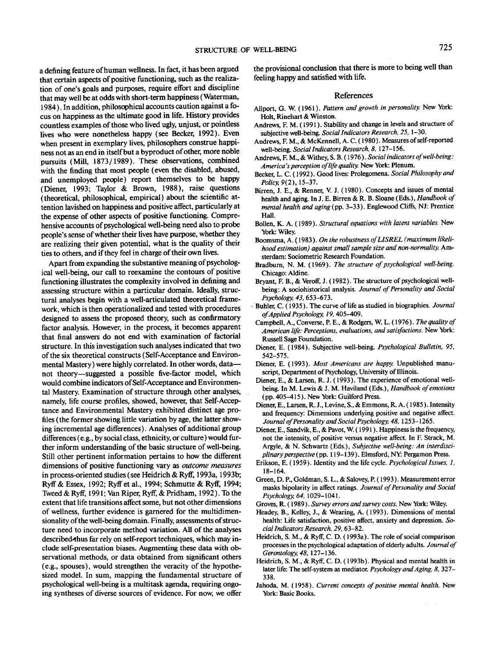a defining feature of human wellness. In fact, it has been argued that certain aspects of positive functioning, such as the realization of one's goals and purposes, require effort and discipline that may well be at odds with short-term happiness (Waterman, 1984). In addition, philosophical accounts caution against a focus on happiness as the ultimate good in life. History provides countless examples of those who lived ugly, unjust, or pointless lives who were nonetheless happy (see Becker, 1992). Even when present in exemplary lives, philosophers construe happiness not as an end in itself but a byproduct of other, more noble pursuits (Mill, 1873/1989). These observations, combined with the finding that most people (even the disabled, abused, and unemployed people) report themselves to be happy (Diener, 1993; Taylor & Brown, 1988), raise questions (theoretical, philosophical, empirical) about the scientific attention lavished on happiness and positive affect, particularly at the expense of other aspects of positive functioning. Comprehensive accounts of psychological well-being need also to probe people's sense of whether their lives have purpose, whether they are realizing their given potential, what is the quality of their ties to others, and if they feel in charge of their own lives.

Apart from expanding the substantive meaning of psychological well-being, our call to reexamine the contours of positive functioning illustrates the complexity involved in defining and assessing structure within a particular domain. Ideally, structural analyses begin with a well-articulated theoretical framework, which is then operationalized and tested with procedures designed to assess the proposed theory, such as confirmatory factor analysis. However, in the process, it becomes apparent that final answers do not end with examination of factorial structure. In this investigation such analyses indicated that two of the six theoretical constructs (Self-Acceptance and Environmental Mastery) were highly correlated. In other words, data not theory—suggested a possible five-factor model, which would combine indicators of Self-Acceptance and Environmental Mastery. Examination of structure through other analyses, namely, life course profiles, showed, however, that Self-Acceptance and Environmental Mastery exhibited distinct age profiles (the former showing little variation by age, the latter showing incremental age differences). Analyses of additional group differences (e.g., by social class, ethnicity, or culture) would further inform understanding of the basic structure of well-being. Still other pertinent information pertains to how the different dimensions of positive functioning vary as *outcome measures* in process-oriented studies (see Heidrich & Ryff, 1993a, 1993b; Ryff & Essex, 1992; Ryff et al., 1994; Schmutte & Ryff, 1994; Tweed & Ryff, 1991; Van Riper, Ryff, & Pridham, 1992). To the extent that life transitions affect some, but not other dimensions of wellness, further evidence is garnered for the multidimensionality of the well-being domain. Finally, assessments of structure need to incorporate method variation. All of the analyses described-thus far rely on self-report techniques, which may include self-presentation biases. Augmenting these data with observational methods, or data obtained from significant others (e.g., spouses), would strengthen the veracity of the hypothesized model. In sum, mapping the fundamental structure of psychological well-being is a multitask agenda, requiring ongoing syntheses of diverse sources of evidence. For now, we offer the provisional conclusion that there is more to being well than feeling happy and satisfied with life.

#### References

- Allport, G. W. (1961). *Pattern and growth in personality.* New York: Holt, Rinehart & Winston.
- Andrews, F. M. (1991). Stability and change in levels and structure of subjective well-being. *Social Indicators Research, 25,* 1-30.
- Andrews, F. M., & McKennell, A. C. (1980). Measures of self-reported well-being. *Social Indicators Research, 8,* 127-156.
- Andrews, F. M., & Withey, S. B. (1976). *Social indicators of well-being: America's perception of life quality.* New York: Plenum.
- Becker, L. C. (1992). Good lives: Prolegomena. *Social Philosophy and Policy,* 9(2), 15-37.
- Birren, J. E., & Renner, V. J. (1980). Concepts and issues of mental health and aging. In J. E. Birren & R. B. Sloane (Eds.), *Handbook of mental health and aging* (pp. 3-33). Englewood Cliffs, NJ: Prentice Hall.
- Bollen, K. A. (1989). *Structural equations with latent variables.* New York: Wiley.
- Boomsma, A. (1983). On the robustness of LISREL (maximum likeli*hood estimation) against small sample size and non-normality.* Amsterdam: Sociometric Research Foundation.
- Bradburn, N. M. (1969). *The structure of psychological well-being.* Chicago: Aldine.
- Bryant, F. B., & Veroff, J. (1982). The structure of psychological wellbeing: A sociohistorical analysis. *Journal of Personality and Social Psychology, 43,* 653-673.
- Buhler, C. (1935). The curve of life as studied in biographies. *Journal of Applied Psychology, 19,* 405-409.
- Campbell, A., Converse, P. E., & Rodgers, W. L. (1976). *The quality of American life: Perceptions, evaluations, and satisfactions.* New \brk: Russell Sage Foundation.
- Diener, E. (1984). Subjective well-being. *Psychological Bulletin, 95,* 542-575.
- Diener, E. (1993). *Most Americans are happy.* Unpublished manuscript, Department of Psychology, University of Illinois.
- Diener, E., & Larsen, R. J. (1993). The experience of emotional wellbeing. In M. Lewis & J. M. Haviland (Eds.), *Handbook of emotions* (pp. 405-415). New York: Guilford Press.
- Diener, E., Larsen, R. J., Levine, S., & Emmons, R. A. (1985). Intensity and frequency: Dimensions underlying positive and negative affect. *Journal of Personality and Social Psychology, 48,* 1253-1265.
- Diener, E., Sandvik, E., & Pavot, W. (1991). Happiness is the frequency, not the intensity, of positive versus negative affect. In F. Strack, M. Argyle, & N. Schwartz (Eds.), *Subjective well-being: An interdisciplinary perspective* (pp. 119-139). Elmsford, NY: Pergamon Press.
- Erikson, E. (1959). Identity and the life cycle. *Psychological Issues, 1,* 18-164.
- Green, D. P., Goldman, S. L., & Salovey, P. (1993). Measurement error masks bipolarity in affect ratings. *Journal of Personality and Social Psychology, 64,* 1029-1041.
- Groves, R. (1989). *Survey errors and survey costs.* New York: Wiley.
- Headey, B., Kelley, J., & Wearing, A. (1993). Dimensions of mental health: Life satisfaction, positive affect, anxiety and depression. *Social Indicators Research, 29,* 63-82.
- Heidrich, S. M., & Ryff, C. D. (1993a). The role of social comparison processes in the psychological adaptation of elderly adults. *Journal of Gerontology, 48,* 127-136.
- Heidrich, S. M., & Ryff, C. D. (1993b). Physical and mental health in later life: The self-system as mediator. *Psychology and Aging, 8,* 327- 338.
- Jahoda, M. (1958). *Current concepts of positive mental health.* New York: Basic Books.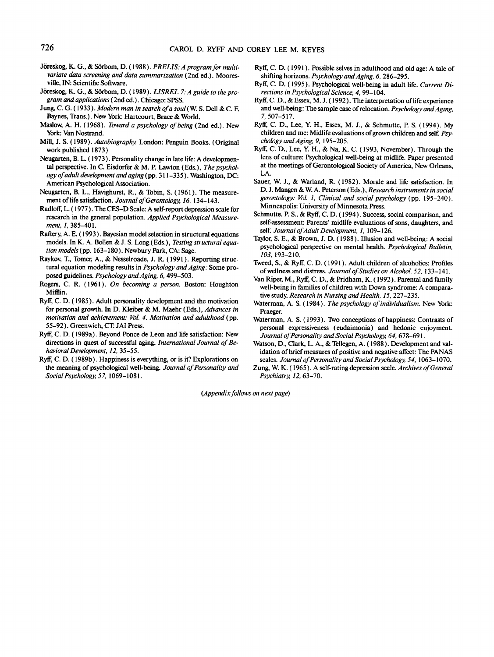- Jöreskog, K. G., & Sörbom, D. (1988). PRELIS: A program for multi*variate data screening and data summarization* (2nd ed.). Mooresville, IN: Scientific Software.
- Jöreskog, K. G., & Sörbom, D. (1989). *LISREL 7: A guide to the program and applications* (2nd ed.). Chicago: SPSS.
- Jung, C. G. (1933). *Modern man in search of a soul(W.* S. Dell & C. F. Baynes, Trans.). New York: Hartcourt, Brace & World.
- Maslow, A. H. (1968). *Toward a psychology of being* (2nd ed.). New York: Van Nostrand.
- Mill, J. S. (1989). *Autobiography.* London: Penguin Books. (Original work published 1873)
- Neugarten, B. L. (1973). Personality change in late life: A developmental perspective. In C. Eisdorfer & M. P. Lawton (Eds.), *The psychology of adult development and aging* (pp.311-335). Washington, DC: American Psychological Association.
- Neugarten, B. L., Havighurst, R., & Tobin, S. (1961). The measurement of life satisfaction. *Journal of Gerontology, 16,* 134-143.
- RadlofF, L. (1977). The CES-D Scale: A self-report depression scale for research in the general population. *Applied Psychological Measure*ment, 1, 385-401.
- Raftery, A. E. (1993). Bayesian model selection in structural equations models. In K. A. Bollen & J. S. Long (Eds.), *Testing structural equation models* (pp. 163-180). Newbury Park, CA: Sage.
- Raykov, T, Tomer, A., & Nesselroade, J. R. (1991). Reporting structural equation modeling results in *Psychology and Aging:* Some proposed guidelines. *Psychology and Aging, 6,* 499-503.
- Rogers, C. R. (1961). *On becoming a person.* Boston: Houghton Mifflin.
- Ryff, C. D. (1985). Adult personality development and the motivation for personal growth. In D. Kleiber & M. Maehr (Eds.), *Advances in motivation and achievement: Vol. 4. Motivation and adulthood* (pp. 55-92). Greenwich, CT: JAI Press.
- RyfF, C. D. (1989a). Beyond Ponce de Leon and life satisfaction: New directions in quest of successful aging. *International Journal of Behavioral Development, 12,* 35-55.
- Ryff, C. D. (1989b). Happiness is everything, or is it? Explorations on the meaning of psychological well-being. *Journal of Personality and Social Psychology, 57,* 1069-1081.
- Ryff, C. D. (1991). Possible selves in adulthood and old age: A tale of shifting horizons. *Psychology and Aging, 6,* 286-295.
- Ryff, C. D. (1995). Psychological well-being in adult life. *Current Directions in Psychological Science, 4,* 99-104.
- Ryff, C. D., & Essex, M. J. (1992). The interpretation of life experience and well-being: The sample case of relocation. *Psychology and Aging,* 7,507-517.
- Ryff, C. D., Lee, Y. H., Essex, M. J., & Schmutte, P. S. (1994). My children and me: Midlife evaluations of grown children and self. *Psychology and Aging, 9,* 195-205.
- Ryff, C. D., Lee, Y. H., & Na, K. C. (1993, November). Through the lens of culture: Psychological well-being at midlife. Paper presented at the meetings of Gerontological Society of America, New Orleans, LA.
- Sauer, W. J., & Warland, R. (1982). Morale and life satisfaction. In D. J. Mangen & W. A. Peterson (Eds.), *Research instruments in social gerontology: Vol. 1, Clinical and social psychology* (pp. 195-240). Minneapolis: University of Minnesota Press.
- Schmutte, P. S., & Ryff, C. D. (1994). Success, social comparison, and self-assessment: Parents' midlife evaluations of sons, daughters, and self. *Journal of Adult Development, 1,* 109-126.
- Taylor, S. E., & Brown, J. D. (1988). Illusion and well-being: A social psychological perspective on mental health. *Psychological Bulletin, 103,* 193-210.
- Tweed, S., & Ryff, C. D. (1991). Adult children of alcoholics: Profiles of wellness and distress. *Journal of Studies on Alcohol, 52,* 133-141.
- Van Riper, M., Ryff, C. D., & Pridham, K. (1992). Parental and family well-being in families of children with Down syndrome: A comparative study. *Research in Nursing and Health, 15,* 227-235.
- Waterman, A. S. (1984). *The psychology of individualism.* New York: Praeger.
- Waterman, A. S. (1993). Two conceptions of happiness: Contrasts of personal expressiveness (eudaimonia) and hedonic enjoyment. *Journal of Personality and Social Psychology, 64,* 678-691.
- Watson, D., Clark, L. A., & Tellegen, A. (1988). Development and validation of brief measures of positive and negative affect: The PANAS scales. *Journal of Personality and Social Psychology, 54,* 1063-1070.
- Zung, W. K. (1965). A self-rating depression scale. *Archives of General Psychiatry, 12,* 63-70.

*(Appendix follows on next page)*